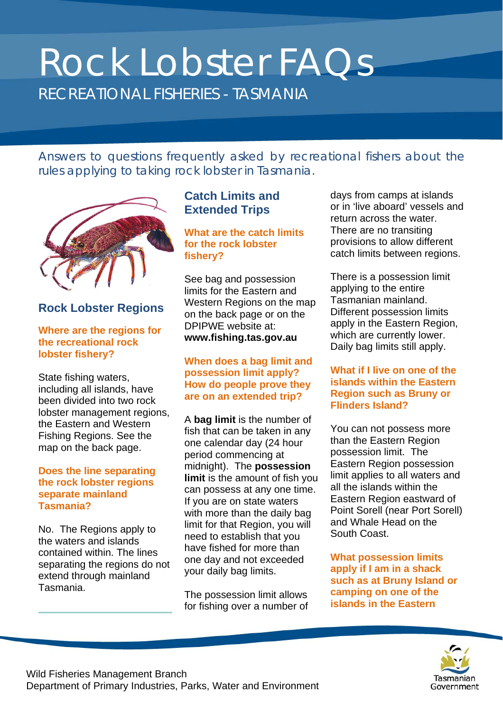# Rock Lobster FAQs RECREATIONAL FISHERIES - TASMANIA

*Answers to questions frequently asked by recreational fishers about the rules applying to taking rock lobster in Tasmania.*



# **Rock Lobster Regions**

#### **Where are the regions for the recreational rock lobster fishery?**

State fishing waters, including all islands, have been divided into two rock lobster management regions, the Eastern and Western Fishing Regions. See the map on the back page.

#### **Does the line separating the rock lobster regions separate mainland Tasmania?**

No. The Regions apply to the waters and islands contained within. The lines separating the regions do not extend through mainland Tasmania.

# **Catch Limits and Extended Trips**

**What are the catch limits for the rock lobster fishery?**

See bag and possession limits for the Eastern and Western Regions on the map on the back page or on the DPIPWE website at: **www.fishing.tas.gov.au**

#### **When does a bag limit and possession limit apply? How do people prove they are on an extended trip?**

A **bag limit** is the number of fish that can be taken in any one calendar day (24 hour period commencing at midnight). The **possession limit** is the amount of fish you can possess at any one time. If you are on state waters with more than the daily bag limit for that Region, you will need to establish that you have fished for more than one day and not exceeded your daily bag limits.

The possession limit allows for fishing over a number of days from camps at islands or in 'live aboard' vessels and return across the water. There are no transiting provisions to allow different catch limits between regions.

There is a possession limit applying to the entire Tasmanian mainland. Different possession limits apply in the Eastern Region, which are currently lower. Daily bag limits still apply.

#### **What if I live on one of the islands within the Eastern Region such as Bruny or Flinders Island?**

You can not possess more than the Eastern Region possession limit. The Eastern Region possession limit applies to all waters and all the islands within the Eastern Region eastward of Point Sorell (near Port Sorell) and Whale Head on the South Coast.

**What possession limits apply if I am in a shack such as at Bruny Island or camping on one of the islands in the Eastern** 

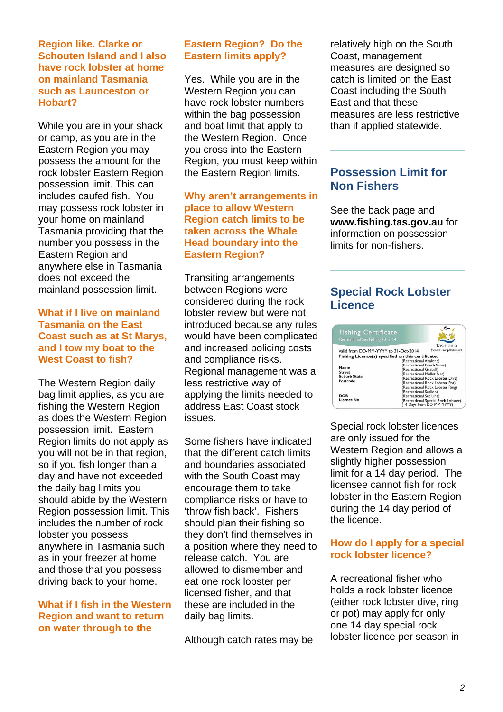#### **Region like. Clarke or Schouten Island and I also have rock lobster at home on mainland Tasmania such as Launceston or Hobart?**

While you are in your shack or camp, as you are in the Eastern Region you may possess the amount for the rock lobster Eastern Region possession limit. This can includes caufed fish. You may possess rock lobster in your home on mainland Tasmania providing that the number you possess in the Eastern Region and anywhere else in Tasmania does not exceed the mainland possession limit.

#### **What if I live on mainland Tasmania on the East Coast such as at St Marys, and I tow my boat to the West Coast to fish?**

The Western Region daily bag limit applies, as you are fishing the Western Region as does the Western Region possession limit. Eastern Region limits do not apply as you will not be in that region, so if you fish longer than a day and have not exceeded the daily bag limits you should abide by the Western Region possession limit. This includes the number of rock lobster you possess anywhere in Tasmania such as in your freezer at home and those that you possess driving back to your home.

#### **What if I fish in the Western Region and want to return on water through to the**

## **Eastern Region? Do the Eastern limits apply?**

Yes. While you are in the Western Region you can have rock lobster numbers within the bag possession and boat limit that apply to the Western Region. Once you cross into the Eastern Region, you must keep within the Eastern Region limits.

#### **Why aren't arrangements in place to allow Western Region catch limits to be taken across the Whale Head boundary into the Eastern Region?**

Transiting arrangements between Regions were considered during the rock lobster review but were not introduced because any rules would have been complicated and increased policing costs and compliance risks. Regional management was a less restrictive way of applying the limits needed to address East Coast stock issues.

Some fishers have indicated that the different catch limits and boundaries associated with the South Coast may encourage them to take compliance risks or have to 'throw fish back'. Fishers should plan their fishing so they don't find themselves in a position where they need to release catch. You are allowed to dismember and eat one rock lobster per licensed fisher, and that these are included in the daily bag limits.

Although catch rates may be

relatively high on the South Coast, management measures are designed so catch is limited on the East Coast including the South East and that these measures are less restrictive than if applied statewide.

# **Possession Limit for Non Fishers**

See the back page and **www.fishing.tas.gov.au** for information on possession limits for non-fishers.

# **Special Rock Lobster Licence**



Special rock lobster licences are only issued for the Western Region and allows a slightly higher possession limit for a 14 day period. The licensee cannot fish for rock lobster in the Eastern Region during the 14 day period of the licence.

#### **How do I apply for a special rock lobster licence?**

A recreational fisher who holds a rock lobster licence (either rock lobster dive, ring or pot) may apply for only one 14 day special rock lobster licence per season in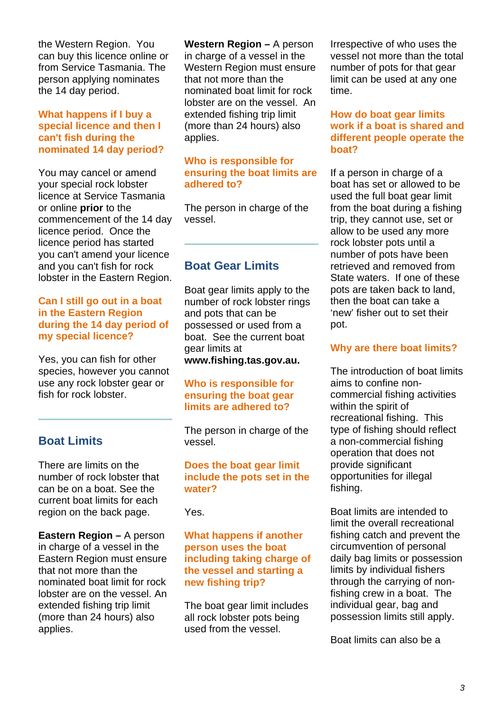the Western Region. You can buy this licence online or from Service Tasmania. The person applying nominates the 14 day period.

#### **What happens if I buy a special licence and then I can't fish during the nominated 14 day period?**

You may cancel or amend your special rock lobster licence at Service Tasmania or online **prior** to the commencement of the 14 day licence period. Once the licence period has started you can't amend your licence and you can't fish for rock lobster in the Eastern Region.

#### **Can I still go out in a boat in the Eastern Region during the 14 day period of my special licence?**

Yes, you can fish for other species, however you cannot use any rock lobster gear or fish for rock lobster.

# **Boat Limits**

There are limits on the number of rock lobster that can be on a boat. See the current boat limits for each region on the back page.

**Eastern Region –** A person in charge of a vessel in the Eastern Region must ensure that not more than the nominated boat limit for rock lobster are on the vessel. An extended fishing trip limit (more than 24 hours) also applies.

**Western Region –** A person in charge of a vessel in the Western Region must ensure that not more than the nominated boat limit for rock lobster are on the vessel. An extended fishing trip limit (more than 24 hours) also applies.

#### **Who is responsible for ensuring the boat limits are adhered to?**

The person in charge of the vessel.

# **Boat Gear Limits**

Boat gear limits apply to the number of rock lobster rings and pots that can be possessed or used from a boat. See the current boat gear limits at **www.fishing.tas.gov.au.**

#### **Who is responsible for ensuring the boat gear limits are adhered to?**

The person in charge of the vessel.

#### **Does the boat gear limit include the pots set in the water?**

Yes.

#### **What happens if another person uses the boat including taking charge of the vessel and starting a new fishing trip?**

The boat gear limit includes all rock lobster pots being used from the vessel.

Irrespective of who uses the vessel not more than the total number of pots for that gear limit can be used at any one time.

#### **How do boat gear limits work if a boat is shared and different people operate the boat?**

If a person in charge of a boat has set or allowed to be used the full boat gear limit from the boat during a fishing trip, they cannot use, set or allow to be used any more rock lobster pots until a number of pots have been retrieved and removed from State waters. If one of these pots are taken back to land, then the boat can take a 'new' fisher out to set their pot.

#### **Why are there boat limits?**

The introduction of boat limits aims to confine noncommercial fishing activities within the spirit of recreational fishing. This type of fishing should reflect a non-commercial fishing operation that does not provide significant opportunities for illegal fishing.

Boat limits are intended to limit the overall recreational fishing catch and prevent the circumvention of personal daily bag limits or possession limits by individual fishers through the carrying of nonfishing crew in a boat. The individual gear, bag and possession limits still apply.

Boat limits can also be a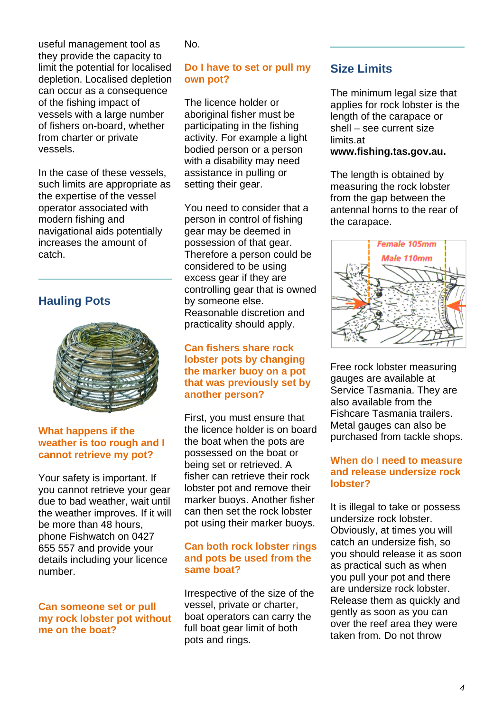useful management tool as they provide the capacity to limit the potential for localised depletion. Localised depletion can occur as a consequence of the fishing impact of vessels with a large number of fishers on-board, whether from charter or private vessels.

In the case of these vessels, such limits are appropriate as the expertise of the vessel operator associated with modern fishing and navigational aids potentially increases the amount of catch.

# **Hauling Pots**



#### **What happens if the weather is too rough and I cannot retrieve my pot?**

Your safety is important. If you cannot retrieve your gear due to bad weather, wait until the weather improves. If it will be more than 48 hours, phone Fishwatch on 0427 655 557 and provide your details including your licence number.

#### **Can someone set or pull my rock lobster pot without me on the boat?**

No.

## **Do I have to set or pull my own pot?**

The licence holder or aboriginal fisher must be participating in the fishing activity. For example a light bodied person or a person with a disability may need assistance in pulling or setting their gear.

You need to consider that a person in control of fishing gear may be deemed in possession of that gear. Therefore a person could be considered to be using excess gear if they are controlling gear that is owned by someone else. Reasonable discretion and practicality should apply.

#### **Can fishers share rock lobster pots by changing the marker buoy on a pot that was previously set by another person?**

First, you must ensure that the licence holder is on board the boat when the pots are possessed on the boat or being set or retrieved. A fisher can retrieve their rock lobster pot and remove their marker buoys. Another fisher can then set the rock lobster pot using their marker buoys.

#### **Can both rock lobster rings and pots be used from the same boat?**

Irrespective of the size of the vessel, private or charter, boat operators can carry the full boat gear limit of both pots and rings.

# **Size Limits**

The minimum legal size that applies for rock lobster is the length of the carapace or shell – see current size limits.at

#### **www.fishing.tas.gov.au.**

The length is obtained by measuring the rock lobster from the gap between the antennal horns to the rear of the carapace.



Free rock lobster measuring gauges are available at Service Tasmania. They are also available from the Fishcare Tasmania trailers. Metal gauges can also be purchased from tackle shops.

#### **When do I need to measure and release undersize rock lobster?**

It is illegal to take or possess undersize rock lobster. Obviously, at times you will catch an undersize fish, so you should release it as soon as practical such as when you pull your pot and there are undersize rock lobster. Release them as quickly and gently as soon as you can over the reef area they were taken from. Do not throw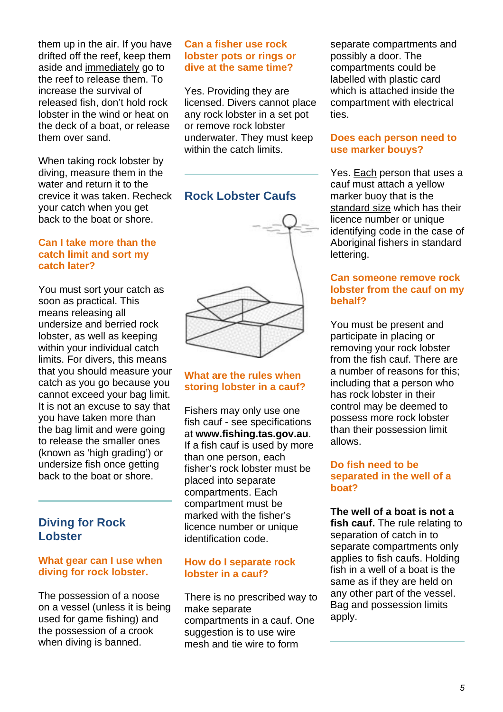them up in the air. If you have drifted off the reef, keep them aside and immediately go to the reef to release them. To increase the survival of released fish, don't hold rock lobster in the wind or heat on the deck of a boat, or release them over sand.

When taking rock lobster by diving, measure them in the water and return it to the crevice it was taken. Recheck your catch when you get back to the boat or shore.

#### **Can I take more than the catch limit and sort my catch later?**

You must sort your catch as soon as practical. This means releasing all undersize and berried rock lobster, as well as keeping within your individual catch limits. For divers, this means that you should measure your catch as you go because you cannot exceed your bag limit. It is not an excuse to say that you have taken more than the bag limit and were going to release the smaller ones (known as 'high grading') or undersize fish once getting back to the boat or shore.

# **Diving for Rock Lobster**

#### **What gear can I use when diving for rock lobster.**

The possession of a noose on a vessel (unless it is being used for game fishing) and the possession of a crook when diving is banned.

#### **Can a fisher use rock lobster pots or rings or dive at the same time?**

Yes. Providing they are licensed. Divers cannot place any rock lobster in a set pot or remove rock lobster underwater. They must keep within the catch limits.

# **Rock Lobster Caufs**



### **What are the rules when storing lobster in a cauf?**

Fishers may only use one fish cauf - see specifications at **www.fishing.tas.gov.au**. If a fish cauf is used by more than one person, each fisher's rock lobster must be placed into separate compartments. Each compartment must be marked with the fisher's licence number or unique identification code.

#### **How do I separate rock lobster in a cauf?**

There is no prescribed way to make separate compartments in a cauf. One suggestion is to use wire mesh and tie wire to form

separate compartments and possibly a door. The compartments could be labelled with plastic card which is attached inside the compartment with electrical ties.

#### **Does each person need to use marker bouys?**

Yes. Each person that uses a cauf must attach a yellow marker buoy that is the standard size which has their licence number or unique identifying code in the case of Aboriginal fishers in standard lettering.

#### **Can someone remove rock lobster from the cauf on my behalf?**

You must be present and participate in placing or removing your rock lobster from the fish cauf. There are a number of reasons for this; including that a person who has rock lobster in their control may be deemed to possess more rock lobster than their possession limit allows.

#### **Do fish need to be separated in the well of a boat?**

#### **The well of a boat is not a**

**fish cauf.** The rule relating to separation of catch in to separate compartments only applies to fish caufs. Holding fish in a well of a boat is the same as if they are held on any other part of the vessel. Bag and possession limits apply.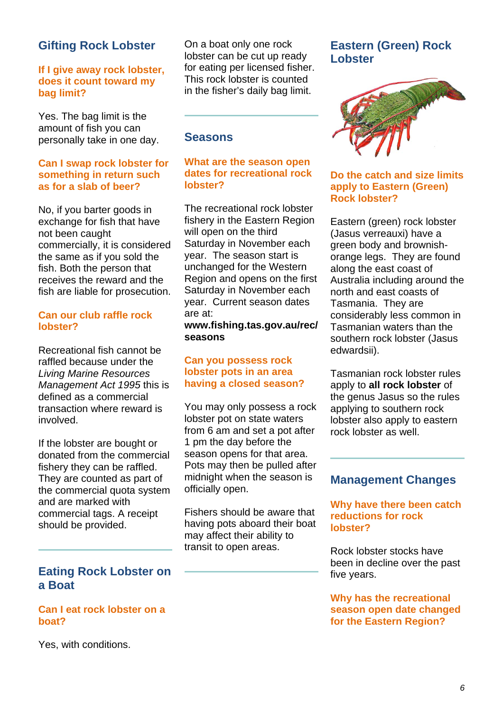# **Gifting Rock Lobster**

#### **If I give away rock lobster, does it count toward my bag limit?**

Yes. The bag limit is the amount of fish you can personally take in one day.

#### **Can I swap rock lobster for something in return such as for a slab of beer?**

No, if you barter goods in exchange for fish that have not been caught commercially, it is considered the same as if you sold the fish. Both the person that receives the reward and the fish are liable for prosecution.

#### **Can our club raffle rock lobster?**

Recreational fish cannot be raffled because under the *Living Marine Resources Management Act 1995* this is defined as a commercial transaction where reward is involved.

If the lobster are bought or donated from the commercial fishery they can be raffled. They are counted as part of the commercial quota system and are marked with commercial tags. A receipt should be provided.

# **Eating Rock Lobster on a Boat**

#### **Can I eat rock lobster on a boat?**

On a boat only one rock lobster can be cut up ready for eating per licensed fisher. This rock lobster is counted in the fisher's daily bag limit.

#### **Seasons**

#### **What are the season open dates for recreational rock lobster?**

The recreational rock lobster fishery in the Eastern Region will open on the third Saturday in November each year. The season start is unchanged for the Western Region and opens on the first Saturday in November each year. Current season dates are at:

#### **www.fishing.tas.gov.au/rec/ seasons**

#### **Can you possess rock lobster pots in an area having a closed season?**

You may only possess a rock lobster pot on state waters from 6 am and set a pot after 1 pm the day before the season opens for that area. Pots may then be pulled after midnight when the season is officially open.

Fishers should be aware that having pots aboard their boat may affect their ability to transit to open areas.

## **Eastern (Green) Rock Lobster**



#### **Do the catch and size limits apply to Eastern (Green) Rock lobster?**

Eastern (green) rock lobster (Jasus verreauxi) have a green body and brownishorange legs. They are found along the east coast of Australia including around the north and east coasts of Tasmania. They are considerably less common in Tasmanian waters than the southern rock lobster (Jasus edwardsii).

Tasmanian rock lobster rules apply to **all rock lobster** of the genus Jasus so the rules applying to southern rock lobster also apply to eastern rock lobster as well.

## **Management Changes**

**Why have there been catch reductions for rock lobster?**

Rock lobster stocks have been in decline over the past five years.

#### **Why has the recreational season open date changed for the Eastern Region?**

Yes, with conditions.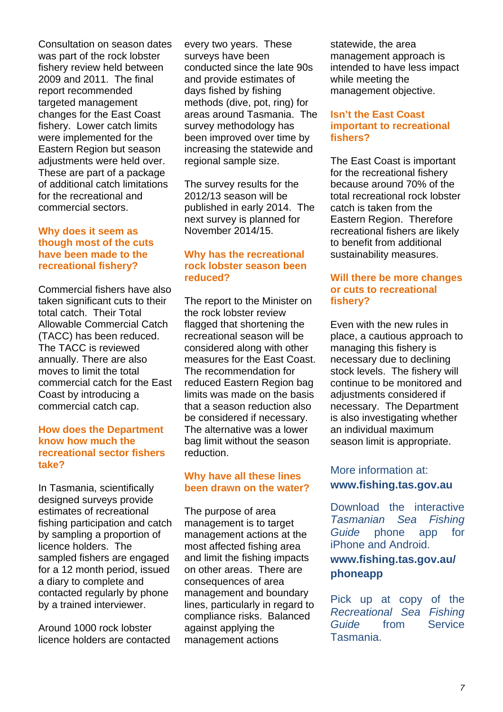Consultation on season dates was part of the rock lobster fishery review held between 2009 and 2011. The final report recommended targeted management changes for the East Coast fishery. Lower catch limits were implemented for the Eastern Region but season adjustments were held over. These are part of a package of additional catch limitations for the recreational and commercial sectors.

#### **Why does it seem as though most of the cuts have been made to the recreational fishery?**

Commercial fishers have also taken significant cuts to their total catch. Their Total Allowable Commercial Catch (TACC) has been reduced. The TACC is reviewed annually. There are also moves to limit the total commercial catch for the East Coast by introducing a commercial catch cap.

#### **How does the Department know how much the recreational sector fishers take?**

In Tasmania, scientifically designed surveys provide estimates of recreational fishing participation and catch by sampling a proportion of licence holders. The sampled fishers are engaged for a 12 month period, issued a diary to complete and contacted regularly by phone by a trained interviewer.

Around 1000 rock lobster licence holders are contacted every two years. These surveys have been conducted since the late 90s and provide estimates of days fished by fishing methods (dive, pot, ring) for areas around Tasmania. The survey methodology has been improved over time by increasing the statewide and regional sample size.

The survey results for the 2012/13 season will be published in early 2014. The next survey is planned for November 2014/15.

#### **Why has the recreational rock lobster season been reduced?**

The report to the Minister on the rock lobster review flagged that shortening the recreational season will be considered along with other measures for the East Coast. The recommendation for reduced Eastern Region bag limits was made on the basis that a season reduction also be considered if necessary. The alternative was a lower bag limit without the season reduction.

#### **Why have all these lines been drawn on the water?**

The purpose of area management is to target management actions at the most affected fishing area and limit the fishing impacts on other areas. There are consequences of area management and boundary lines, particularly in regard to compliance risks. Balanced against applying the management actions

statewide, the area management approach is intended to have less impact while meeting the management objective.

#### **Isn't the East Coast important to recreational fishers?**

The East Coast is important for the recreational fishery because around 70% of the total recreational rock lobster catch is taken from the Eastern Region. Therefore recreational fishers are likely to benefit from additional sustainability measures.

#### **Will there be more changes or cuts to recreational fishery?**

Even with the new rules in place, a cautious approach to managing this fishery is necessary due to declining stock levels. The fishery will continue to be monitored and adjustments considered if necessary. The Department is also investigating whether an individual maximum season limit is appropriate.

## More information at: **www.fishing.tas.gov.au**

Download the interactive *Tasmanian Sea Fishing Guide* phone app for iPhone and Android.

## **www.fishing.tas.gov.au/ phoneapp**

Pick up at copy of the *Recreational Sea Fishing Guide* from Service Tasmania.